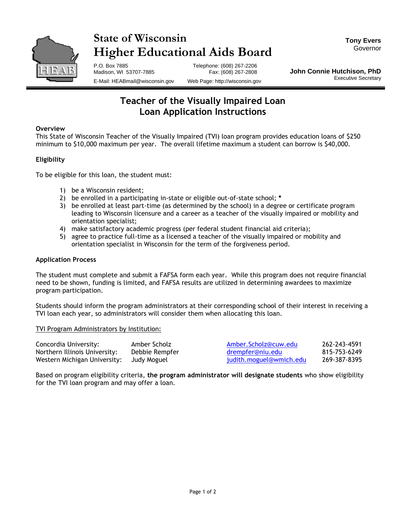

# **State of Wisconsin Higher Educational Aids Board**

P.O. Box 7885 Telephone: (608) 267-2206 Madison, WI 53707-7885 E-Mail: HEABmail@wisconsin.gov Web Page: http://wisconsin.gov

**John Connie Hutchison, PhD** Executive Secretary

### **Teacher of the Visually Impaired Loan Loan Application Instructions**

#### **Overview**

This State of Wisconsin Teacher of the Visually Impaired (TVI) loan program provides education loans of \$250 minimum to \$10,000 maximum per year. The overall lifetime maximum a student can borrow is \$40,000.

### **Eligibility**

To be eligible for this loan, the student must:

- 1) be a Wisconsin resident;
- 2) be enrolled in a participating in-state or eligible out-of-state school; **\***
- 3) be enrolled at least part-time (as determined by the school) in a degree or certificate program leading to Wisconsin licensure and a career as a teacher of the visually impaired or mobility and orientation specialist;
- 4) make satisfactory academic progress (per federal student financial aid criteria);
- 5) agree to practice full-time as a licensed a teacher of the visually impaired or mobility and orientation specialist in Wisconsin for the term of the forgiveness period.

#### **Application Process**

The student must complete and submit a FAFSA form each year. While this program does not require financial need to be shown, funding is limited, and FAFSA results are utilized in determining awardees to maximize program participation.

Students should inform the program administrators at their corresponding school of their interest in receiving a TVI loan each year, so administrators will consider them when allocating this loan.

TVI Program Administrators by Institution:

| Concordia University:         | Amber Scholz   | Amber.Scholz@cuw.edu    | 262-243-4591 |
|-------------------------------|----------------|-------------------------|--------------|
| Northern Illinois University: | Debbie Rempfer | drempfer@niu.edu        | 815-753-6249 |
| Western Michigan University:  | Judy Moguel    | judith.moguel@wmich.edu | 269-387-8395 |

Based on program eligibility criteria, **the program administrator will designate students** who show eligibility for the TVI loan program and may offer a loan.